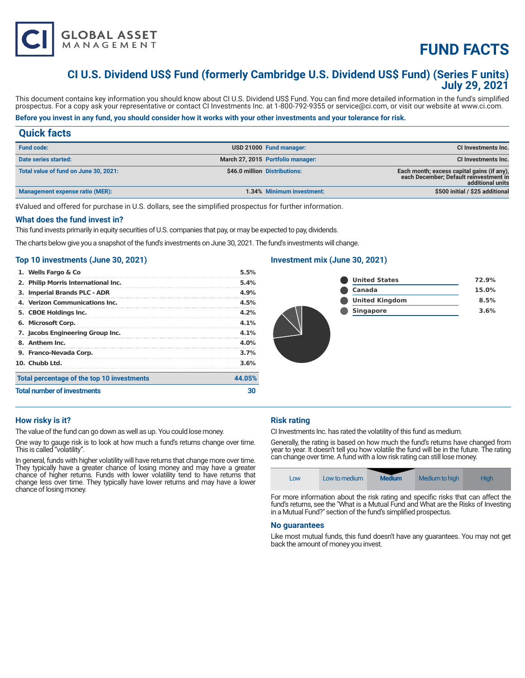

# **FUND FACTS**

# **CI U.S. Dividend US\$ Fund (formerly Cambridge U.S. Dividend US\$ Fund) (Series F units) July 29, 2021**

This document contains key information you should know about CI U.S. Dividend US\$ Fund. You can find more detailed information in the fund's simplified prospectus. For a copy ask your representative or contact CI Investments Inc. at 1-800-792-9355 or service@ci.com, or visit our website at www.ci.com.

# **Before you invest in any fund, you should consider how it works with your other investments and your tolerance for risk.**

# **Quick facts**

| <b>Fund code:</b>                     | USD 21000 Fund manager:           | <b>CI Investments Inc.</b>                                                                               |
|---------------------------------------|-----------------------------------|----------------------------------------------------------------------------------------------------------|
| Date series started:                  | March 27, 2015 Portfolio manager: | <b>CI Investments Inc.</b>                                                                               |
| Total value of fund on June 30, 2021: | \$46.0 million Distributions:     | Each month; excess capital gains (if any),<br>each December; Default reinvestment in<br>additional units |
| Management expense ratio (MER):       | 1.34% Minimum investment:         | \$500 initial / \$25 additional                                                                          |

‡Valued and offered for purchase in U.S. dollars, see the simplified prospectus for further information.

#### **What does the fund invest in?**

This fund invests primarily in equity securities of U.S. companies that pay, or may be expected to pay, dividends.

The charts below give you a snapshot of the fund's investments on June 30, 2021. The fund's investments will change.

# **Top 10 investments (June 30, 2021)**

| <b>Total number of investments</b>         |         |
|--------------------------------------------|---------|
| Total percentage of the top 10 investments | 44.05%  |
| 10. Chubb Ltd.                             | 3.6%    |
| 9. Franco-Nevada Corp.                     | 3.7%    |
| 8. Anthem Inc.                             | $4.0\%$ |
| 7. Jacobs Engineering Group Inc.           | $4.1\%$ |
| 6. Microsoft Corp.                         | 4.1%    |
| 5. CBOE Holdings Inc.                      | 4.2%    |
| 4. Verizon Communications Inc.             | 4.5%    |
| 3. Imperial Brands PLC - ADR               | 4.9%    |
| 2. Philip Morris International Inc.        | 5.4%    |
| 1. Wells Fargo & Co                        | 5.5%    |

# **Investment mix (June 30, 2021)**



# **How risky is it?**

The value of the fund can go down as well as up. You could lose money.

One way to gauge risk is to look at how much a fund's returns change over time. This is called "volatility".

In general, funds with higher volatility will have returns that change more over time. They typically have a greater chance of losing money and may have a greater chance of higher returns. Funds with lower volatility tend to have returns that change less over time. They typically have lower returns and may have a lower chance of losing money.

# **Risk rating**

CI Investments Inc. has rated the volatility of this fund as medium.

Generally, the rating is based on how much the fund's returns have changed from year to year. It doesn't tell you how volatile the fund will be in the future. The rating can change over time. A fund with a low risk rating can still lose money.

| Low | Low to medium | <b>Medium</b> | Medium to high | <b>High</b> |
|-----|---------------|---------------|----------------|-------------|
|-----|---------------|---------------|----------------|-------------|

For more information about the risk rating and specific risks that can affect the fund's returns, see the "What is a Mutual Fund and What are the Risks of Investing in a Mutual Fund?" section of the fund's simplified prospectus.

#### **No guarantees**

Like most mutual funds, this fund doesn't have any guarantees. You may not get back the amount of money you invest.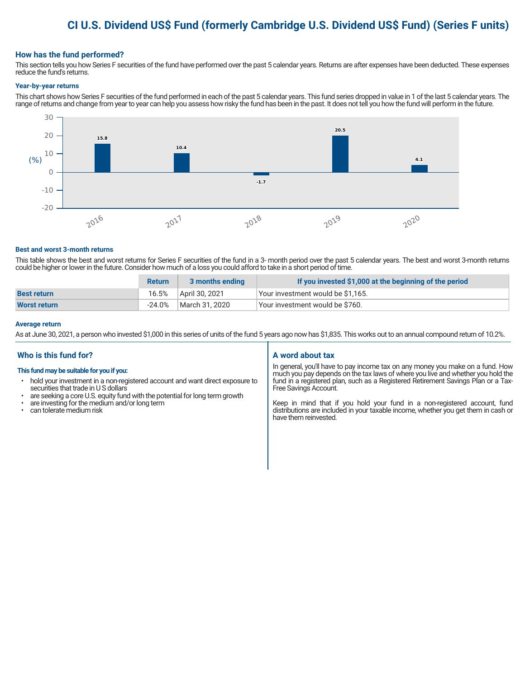# **CI U.S. Dividend US\$ Fund (formerly Cambridge U.S. Dividend US\$ Fund) (Series F units)**

# **How has the fund performed?**

This section tells you how Series F securities of the fund have performed over the past 5 calendar years. Returns are after expenses have been deducted. These expenses reduce the fund's returns.

#### **Year-by-year returns**

This chart shows how Series F securities of the fund performed in each of the past 5 calendar years. This fund series dropped in value in 1 of the last 5 calendar years. The range of returns and change from year to year can help you assess how risky the fund has been in the past. It does not tell you how the fund will perform in the future.



#### **Best and worst 3-month returns**

This table shows the best and worst returns for Series F securities of the fund in a 3- month period over the past 5 calendar years. The best and worst 3-month returns could be higher or lower in the future. Consider how much of a loss you could afford to take in a short period of time.

|                     | <b>Return</b> | 3 months ending | If you invested \$1,000 at the beginning of the period |
|---------------------|---------------|-----------------|--------------------------------------------------------|
| <b>Best return</b>  | 16.5%         | April 30, 2021  | Your investment would be \$1,165.                      |
| <b>Worst return</b> | -24.0%        | March 31, 2020  | Your investment would be \$760.                        |

#### **Average return**

As at June 30, 2021, a person who invested \$1,000 in this series of units of the fund 5 years ago now has \$1,835. This works out to an annual compound return of 10.2%.

# **Who is this fund for?**

#### **This fund may be suitable for you if you:**

- hold your investment in a non-registered account and want direct exposure to securities that trade in U S dollars
- are seeking a core U.S. equity fund with the potential for long term growth
- are investing for the medium and/or long term
- can tolerate medium risk

# **A word about tax**

In general, you'll have to pay income tax on any money you make on a fund. How much you pay depends on the tax laws of where you live and whether you hold the fund in a registered plan, such as a Registered Retirement Savings Plan or a Tax-Free Savings Account.

Keep in mind that if you hold your fund in a non-registered account, fund distributions are included in your taxable income, whether you get them in cash or have them reinvested.